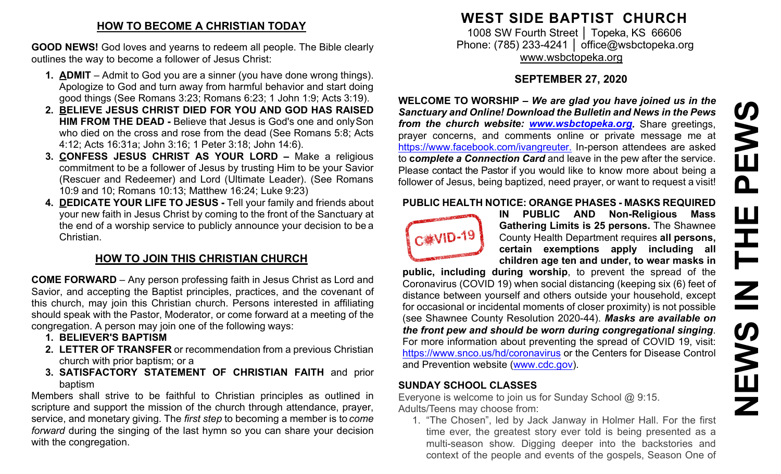## **HOW TO BECOME A CHRISTIAN TODAY**

**GOOD NEWS!** God loves and yearns to redeem all people. The Bible clearly outlines the way to become a follower of Jesus Christ:

- **1. ADMIT**  Admit to God you are a sinner (you have done wrong things). Apologize to God and turn away from harmful behavior and start doing good things (See Romans 3:23; Romans 6:23; 1 John 1:9; Acts 3:19).
- **2. BELIEVE JESUS CHRIST DIED FOR YOU AND GOD HAS RAISED HIM FROM THE DEAD -** Believe that Jesus is God's one and onlySon who died on the cross and rose from the dead (See Romans 5:8; Acts 4:12; Acts 16:31a; John 3:16; 1 Peter 3:18; John 14:6).
- **3. CONFESS JESUS CHRIST AS YOUR LORD –** Make a religious commitment to be a follower of Jesus by trusting Him to be your Savior (Rescuer and Redeemer) and Lord (Ultimate Leader). (See Romans 10:9 and 10; Romans 10:13; Matthew 16:24; Luke 9:23)
- **4. DEDICATE YOUR LIFE TO JESUS -** Tell your family and friends about your new faith in Jesus Christ by coming to the front of the Sanctuary at the end of a worship service to publicly announce your decision to be a Christian.

# **HOW TO JOIN THIS CHRISTIAN CHURCH**

**COME FORWARD** – Any person professing faith in Jesus Christ as Lord and Savior, and accepting the Baptist principles, practices, and the covenant of this church, may join this Christian church. Persons interested in affiliating should speak with the Pastor, Moderator, or come forward at a meeting of the congregation. A person may join one of the following ways:

- **1. BELIEVER'S BAPTISM**
- **2. LETTER OF TRANSFER** or recommendation from a previous Christian church with prior baptism; or a
- **3. SATISFACTORY STATEMENT OF CHRISTIAN FAITH** and prior baptism

Members shall strive to be faithful to Christian principles as outlined in scripture and support the mission of the church through attendance, prayer, service, and monetary giving. The *first step* to becoming a member is to *come forward* during the singing of the last hymn so you can share your decision with the congregation.

# **WEST SIDE BAPTIST CHURCH**

1008 SW Fourth Street | Topeka, KS 66606 Phone: (785) 233-4241 │ [office@wsbctopeka.org](mailto:office@wsbctopeka.org) [www.wsbctopeka.org](http://www.wsbctopeka.org/)

# **SEPTEMBER 27, 2020**

**WELCOME TO WORSHIP –** *We are glad you have joined us in the Sanctuary and Online! Download the Bulletin and News in the Pews from the church website: [www.wsbctopeka.org.](http://www.wsbctopeka.org/)* Share greetings, prayer concerns, and comments online or private message me at <https://www.facebook.com/ivangreuter.> In-person attendees are asked to **c***omplete a Connection Card* and leave in the pew after the service. Please contact the Pastor if you would like to know more about being a follower of Jesus, being baptized, need prayer, or want to request a visit!

#### **PUBLIC HEALTH NOTICE: ORANGE PHASES - MASKS REQUIRED**



**IN PUBLIC AND Non-Religious Mass Gathering Limits is 25 persons.** The Shawnee County Health Department requires **all persons, certain exemptions apply including all children age ten and under, to wear masks in** 

**public, including during worship**, to prevent the spread of the Coronavirus (COVID 19) when social distancing (keeping six (6) feet of distance between yourself and others outside your household, except for occasional or incidental moments of closer proximity) is not possible (see Shawnee County Resolution 2020-44). *Masks are available on the front pew and should be worn during congregational singing*. For more information about preventing the spread of COVID 19, visit: <https://www.snco.us/hd/coronavirus> or the Centers for Disease Control and Prevention website [\(www.cdc.gov\)](http://www.cdc.gov/).

## **SUNDAY SCHOOL CLASSES**

Everyone is welcome to join us for Sunday School @ 9:15. Adults/Teens may choose from:

1. "The Chosen", led by Jack Janway in Holmer Hall. For the first time ever, the greatest story ever told is being presented as a multi-season show. Digging deeper into the backstories and context of the people and events of the gospels, Season One of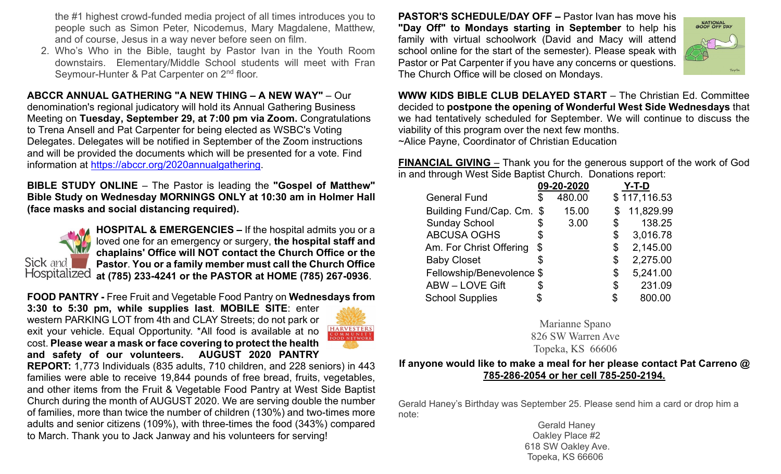the #1 highest crowd-funded media project of all times introduces you to people such as Simon Peter, Nicodemus, Mary Magdalene, Matthew, and of course, Jesus in a way never before seen on film.

2. Who's Who in the Bible, taught by Pastor Ivan in the Youth Room downstairs. Elementary/Middle School students will meet with Fran Seymour-Hunter & Pat Carpenter on 2<sup>nd</sup> floor.

## **ABCCR ANNUAL GATHERING "A NEW THING – A NEW WAY"** – Our

denomination's regional judicatory will hold its Annual Gathering Business Meeting on **Tuesday, September 29, at 7:00 pm via Zoom.** Congratulations to Trena Ansell and Pat Carpenter for being elected as WSBC's Voting Delegates. Delegates will be notified in September of the Zoom instructions and will be provided the documents which will be presented for a vote. Find information at [https://abccr.org/2020annualgathering.](https://abccr.org/2020annualgathering)

**BIBLE STUDY ONLINE** – The Pastor is leading the **"Gospel of Matthew" Bible Study on Wednesday MORNINGS ONLY at 10:30 am in Holmer Hall (face masks and social distancing required).** 



**HOSPITAL & EMERGENCIES –** If the hospital admits you or a loved one for an emergency or surgery, **the hospital staff and chaplains' Office will NOT contact the Church Office or the Pastor**. **You or a family member must call the Church Office at (785) 233-4241 or the PASTOR at HOME (785) 267-0936**.

#### **FOOD PANTRY -** Free Fruit and Vegetable Food Pantry on **Wednesdays from**

**3:30 to 5:30 pm, while supplies last**. **MOBILE SITE**: enter western PARKING LOT from 4th and CLAY Streets; do not park or exit your vehicle. Equal Opportunity. \*All food is available at no cost. **Please wear a mask or face covering to protect the health and safety of our volunteers. AUGUST 2020 PANTRY** 



**REPORT:** 1,773 Individuals (835 adults, 710 children, and 228 seniors) in 443 families were able to receive 19,844 pounds of free bread, fruits, vegetables, and other items from the Fruit & Vegetable Food Pantry at West Side Baptist Church during the month of AUGUST 2020. We are serving double the number of families, more than twice the number of children (130%) and two-times more adults and senior citizens (109%), with three-times the food (343%) compared to March. Thank you to Jack Janway and his volunteers for serving!

**PASTOR'S SCHEDULE/DAY OFF –** Pastor Ivan has move his **"Day Off" to Mondays starting in September** to help his family with virtual schoolwork (David and Macy will attend school online for the start of the semester). Please speak with Pastor or Pat Carpenter if you have any concerns or questions. The Church Office will be closed on Mondays.



**WWW KIDS BIBLE CLUB DELAYED START** – The Christian Ed. Committee decided to **postpone the opening of Wonderful West Side Wednesdays** that we had tentatively scheduled for September. We will continue to discuss the viability of this program over the next few months. ~Alice Payne, Coordinator of Christian Education

**FINANCIAL GIVING** – Thank you for the generous support of the work of God in and through West Side Baptist Church. Donations report:

|                           |        |            | Y-T-D        |
|---------------------------|--------|------------|--------------|
| \$                        | 480.00 |            | \$117,116.53 |
| Building Fund/Cap. Cm. \$ | 15.00  |            | 11,829.99    |
| \$                        | 3.00   | \$         | 138.25       |
| \$                        |        | \$         | 3,016.78     |
| \$                        |        | \$         | 2,145.00     |
| S                         |        | \$         | 2,275.00     |
| Fellowship/Benevolence \$ |        | \$         | 5,241.00     |
| \$                        |        | \$         | 231.09       |
|                           |        | \$         | 800.00       |
|                           |        | 09-20-2020 |              |

Marianne Spano 826 SW Warren Ave Topeka, KS 66606

#### **If anyone would like to make a meal for her please contact Pat Carreno @ 785-286-2054 or her cell 785-250-2194.**

Gerald Haney's Birthday was September 25. Please send him a card or drop him a note:

 Gerald Haney Oakley Place #2 618 SW Oakley Ave. Topeka, KS 66606